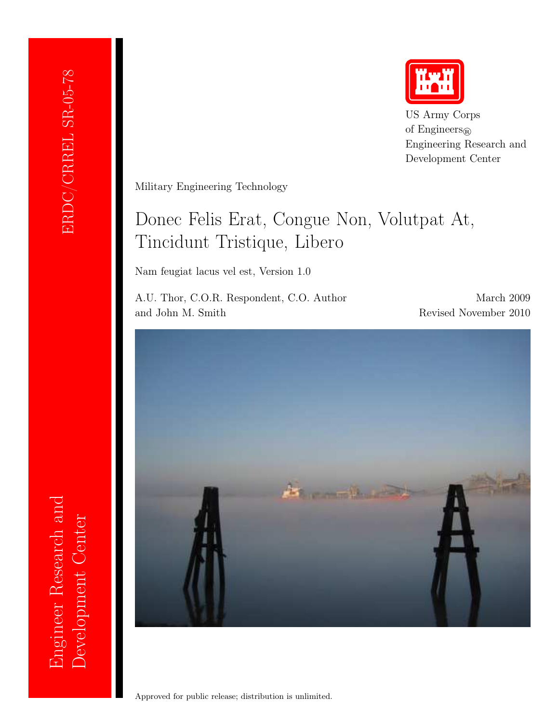

US Army Corps of Engineers $\mathbb{R}$ Engineering Research and Development Center

Military Engineering Technology

# Donec Felis Erat, Congue Non, Volutpat At, Tincidunt Tristique, Libero

Nam feugiat lacus vel est, Version 1.0

A.U. Thor, C.O.R. Respondent, C.O. Author and John M. Smith

March 2009 Revised November 2010



Development Center ERDC/CRREL SR-05-78 Engineer Research and<br>Development Center Engineer Research and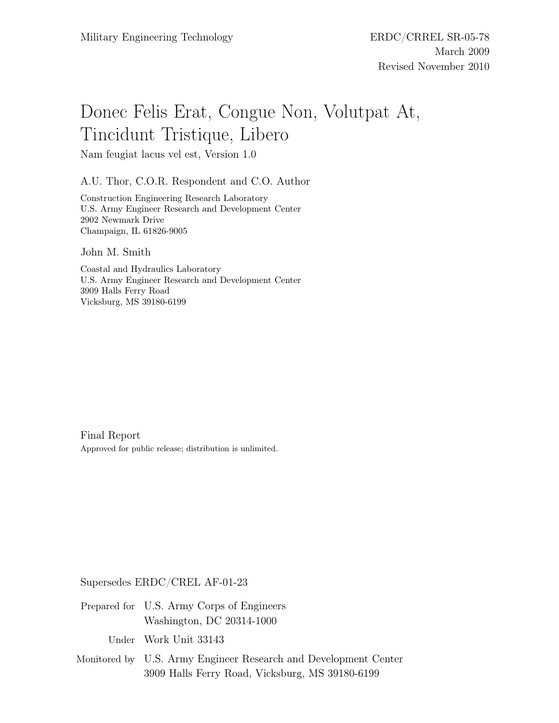# Donec Felis Erat, Congue Non, Volutpat At, Tincidunt Tristique, Libero

Nam feugiat lacus vel est, Version 1.0

A.U. Thor, C.O.R. Respondent and C.O. Author

Construction Engineering Research Laboratory U.S. Army Engineer Research and Development Center 2902 Newmark Drive Champaign, IL 61826-9005

John M. Smith

Coastal and Hydraulics Laboratory U.S. Army Engineer Research and Development Center 3909 Halls Ferry Road Vicksburg, MS 39180-6199

Final Report Approved for public release; distribution is unlimited.

Supersedes ERDC/CREL AF-01-23

Prepared for U.S. Army Corps of Engineers Washington, DC 20314-1000

Under Work Unit 33143

Monitored by U.S. Army Engineer Research and Development Center 3909 Halls Ferry Road, Vicksburg, MS 39180-6199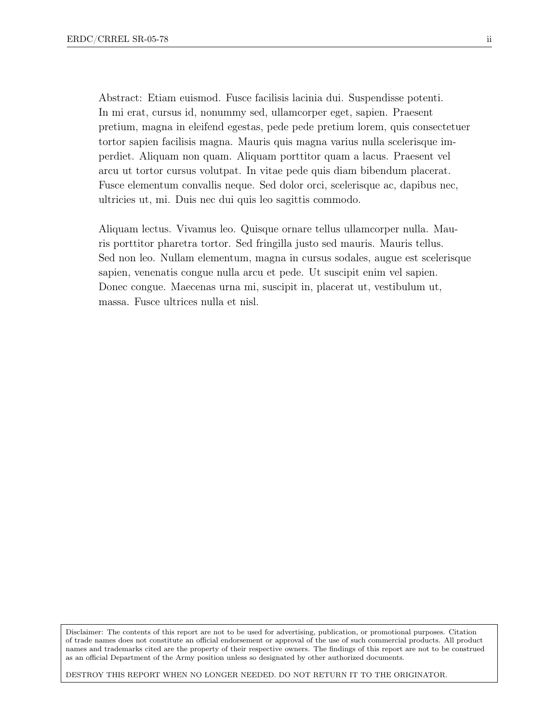Abstract: Etiam euismod. Fusce facilisis lacinia dui. Suspendisse potenti. In mi erat, cursus id, nonummy sed, ullamcorper eget, sapien. Praesent pretium, magna in eleifend egestas, pede pede pretium lorem, quis consectetuer tortor sapien facilisis magna. Mauris quis magna varius nulla scelerisque imperdiet. Aliquam non quam. Aliquam porttitor quam a lacus. Praesent vel arcu ut tortor cursus volutpat. In vitae pede quis diam bibendum placerat. Fusce elementum convallis neque. Sed dolor orci, scelerisque ac, dapibus nec, ultricies ut, mi. Duis nec dui quis leo sagittis commodo.

Aliquam lectus. Vivamus leo. Quisque ornare tellus ullamcorper nulla. Mauris porttitor pharetra tortor. Sed fringilla justo sed mauris. Mauris tellus. Sed non leo. Nullam elementum, magna in cursus sodales, augue est scelerisque sapien, venenatis congue nulla arcu et pede. Ut suscipit enim vel sapien. Donec congue. Maecenas urna mi, suscipit in, placerat ut, vestibulum ut, massa. Fusce ultrices nulla et nisl.

Disclaimer: The contents of this report are not to be used for advertising, publication, or promotional purposes. Citation of trade names does not constitute an official endorsement or approval of the use of such commercial products. All product names and trademarks cited are the property of their respective owners. The findings of this report are not to be construed as an official Department of the Army position unless so designated by other authorized documents.

DESTROY THIS REPORT WHEN NO LONGER NEEDED. DO NOT RETURN IT TO THE ORIGINATOR.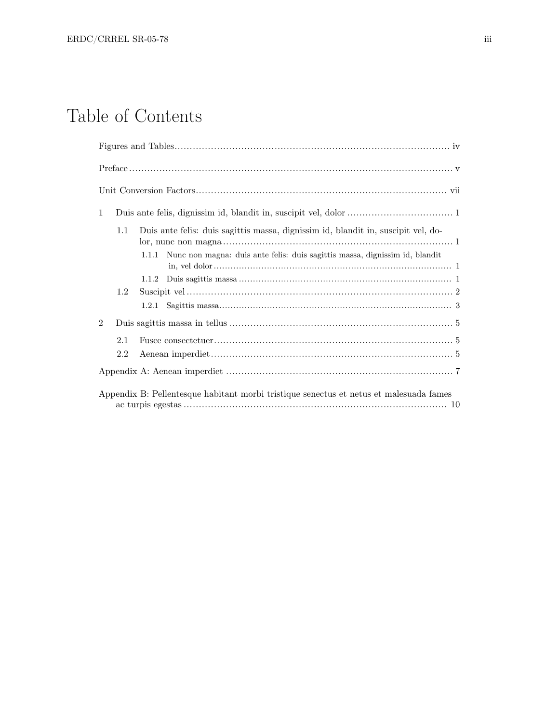## Table of Contents

| 1                                                                                        |
|------------------------------------------------------------------------------------------|
| 1.1<br>Duis ante felis: duis sagittis massa, dignissim id, blandit in, suscipit vel, do- |
| Nunc non magna: duis ante felis: duis sagittis massa, dignissim id, blandit<br>1.1.1     |
|                                                                                          |
| 1.2                                                                                      |
| 1.2.1                                                                                    |
| $\overline{2}$                                                                           |
| 2.1                                                                                      |
| 2.2                                                                                      |
|                                                                                          |
| Appendix B: Pellentesque habitant morbi tristique senectus et netus et malesuada fames   |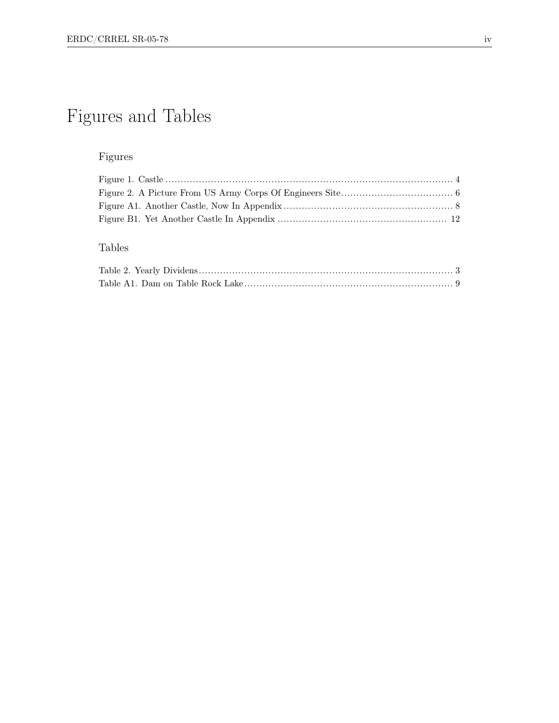# Figures and Tables

### Figures

### Tables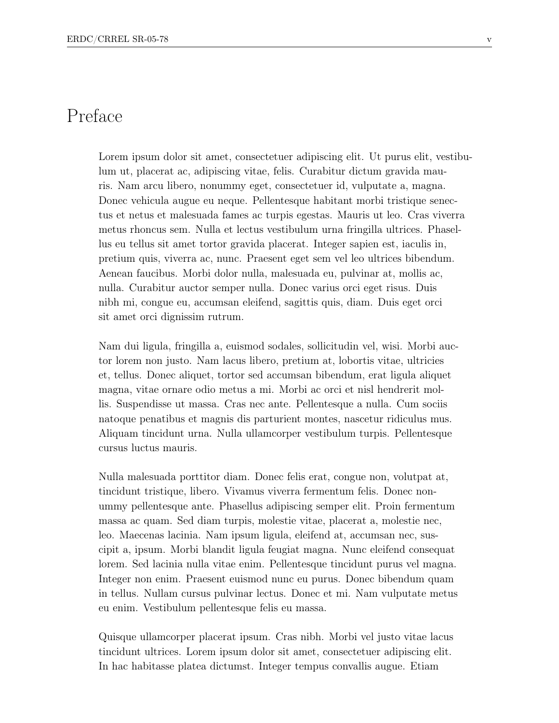## Preface

Lorem ipsum dolor sit amet, consectetuer adipiscing elit. Ut purus elit, vestibulum ut, placerat ac, adipiscing vitae, felis. Curabitur dictum gravida mauris. Nam arcu libero, nonummy eget, consectetuer id, vulputate a, magna. Donec vehicula augue eu neque. Pellentesque habitant morbi tristique senectus et netus et malesuada fames ac turpis egestas. Mauris ut leo. Cras viverra metus rhoncus sem. Nulla et lectus vestibulum urna fringilla ultrices. Phasellus eu tellus sit amet tortor gravida placerat. Integer sapien est, iaculis in, pretium quis, viverra ac, nunc. Praesent eget sem vel leo ultrices bibendum. Aenean faucibus. Morbi dolor nulla, malesuada eu, pulvinar at, mollis ac, nulla. Curabitur auctor semper nulla. Donec varius orci eget risus. Duis nibh mi, congue eu, accumsan eleifend, sagittis quis, diam. Duis eget orci sit amet orci dignissim rutrum.

Nam dui ligula, fringilla a, euismod sodales, sollicitudin vel, wisi. Morbi auctor lorem non justo. Nam lacus libero, pretium at, lobortis vitae, ultricies et, tellus. Donec aliquet, tortor sed accumsan bibendum, erat ligula aliquet magna, vitae ornare odio metus a mi. Morbi ac orci et nisl hendrerit mollis. Suspendisse ut massa. Cras nec ante. Pellentesque a nulla. Cum sociis natoque penatibus et magnis dis parturient montes, nascetur ridiculus mus. Aliquam tincidunt urna. Nulla ullamcorper vestibulum turpis. Pellentesque cursus luctus mauris.

Nulla malesuada porttitor diam. Donec felis erat, congue non, volutpat at, tincidunt tristique, libero. Vivamus viverra fermentum felis. Donec nonummy pellentesque ante. Phasellus adipiscing semper elit. Proin fermentum massa ac quam. Sed diam turpis, molestie vitae, placerat a, molestie nec, leo. Maecenas lacinia. Nam ipsum ligula, eleifend at, accumsan nec, suscipit a, ipsum. Morbi blandit ligula feugiat magna. Nunc eleifend consequat lorem. Sed lacinia nulla vitae enim. Pellentesque tincidunt purus vel magna. Integer non enim. Praesent euismod nunc eu purus. Donec bibendum quam in tellus. Nullam cursus pulvinar lectus. Donec et mi. Nam vulputate metus eu enim. Vestibulum pellentesque felis eu massa.

Quisque ullamcorper placerat ipsum. Cras nibh. Morbi vel justo vitae lacus tincidunt ultrices. Lorem ipsum dolor sit amet, consectetuer adipiscing elit. In hac habitasse platea dictumst. Integer tempus convallis augue. Etiam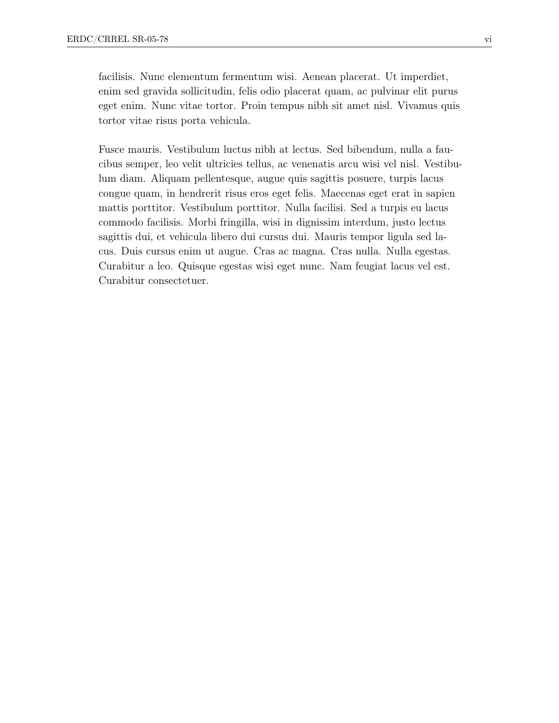facilisis. Nunc elementum fermentum wisi. Aenean placerat. Ut imperdiet, enim sed gravida sollicitudin, felis odio placerat quam, ac pulvinar elit purus eget enim. Nunc vitae tortor. Proin tempus nibh sit amet nisl. Vivamus quis tortor vitae risus porta vehicula.

Fusce mauris. Vestibulum luctus nibh at lectus. Sed bibendum, nulla a faucibus semper, leo velit ultricies tellus, ac venenatis arcu wisi vel nisl. Vestibulum diam. Aliquam pellentesque, augue quis sagittis posuere, turpis lacus congue quam, in hendrerit risus eros eget felis. Maecenas eget erat in sapien mattis porttitor. Vestibulum porttitor. Nulla facilisi. Sed a turpis eu lacus commodo facilisis. Morbi fringilla, wisi in dignissim interdum, justo lectus sagittis dui, et vehicula libero dui cursus dui. Mauris tempor ligula sed lacus. Duis cursus enim ut augue. Cras ac magna. Cras nulla. Nulla egestas. Curabitur a leo. Quisque egestas wisi eget nunc. Nam feugiat lacus vel est. Curabitur consectetuer.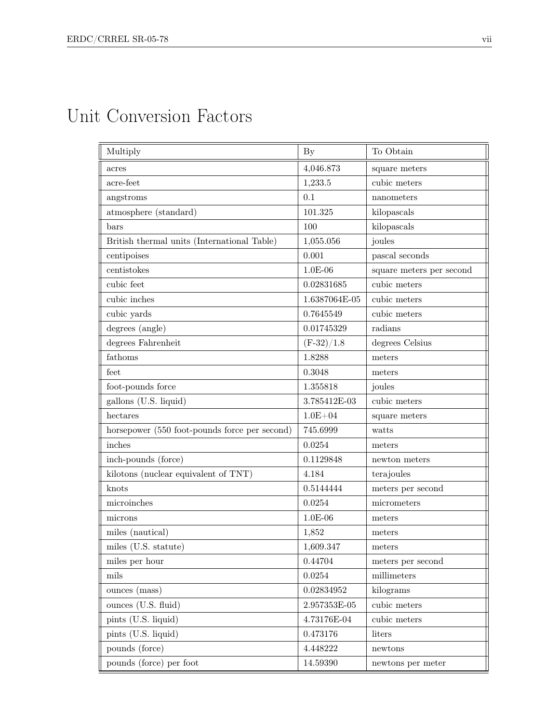| Unit Conversion Factors |  |
|-------------------------|--|
|-------------------------|--|

| Multiply                                      | By             | To Obtain                |  |
|-----------------------------------------------|----------------|--------------------------|--|
| acres                                         | 4,046.873      | square meters            |  |
| $acre-feet$                                   | 1,233.5        | cubic meters             |  |
| angstroms                                     | 0.1            | nanometers               |  |
| atmosphere (standard)                         | 101.325        | kilopascals              |  |
| bars                                          | 100            | kilopascals              |  |
| British thermal units (International Table)   | 1,055.056      | joules                   |  |
| centipoises                                   | 0.001          | pascal seconds           |  |
| centistokes                                   | $1.0E-06$      | square meters per second |  |
| cubic feet                                    | 0.02831685     | cubic meters             |  |
| cubic inches                                  | 1.6387064E-05  | cubic meters             |  |
| cubic yards                                   | 0.7645549      | cubic meters             |  |
| degrees (angle)                               | 0.01745329     | radians                  |  |
| degrees Fahrenheit                            | $(F-32)/1.8$   | degrees Celsius          |  |
| fathoms                                       | 1.8288         | meters                   |  |
| feet                                          | 0.3048         | meters                   |  |
| foot-pounds force                             | 1.355818       | joules                   |  |
| gallons (U.S. liquid)                         | 3.785412E-03   | cubic meters             |  |
| hectares                                      | $1.0E + 04$    | square meters            |  |
| horsepower (550 foot-pounds force per second) | 745.6999       | watts                    |  |
| inches                                        | 0.0254         | meters                   |  |
| inch-pounds (force)                           | 0.1129848      | newton meters            |  |
| kilotons (nuclear equivalent of TNT)          | 4.184          | terajoules               |  |
| knots                                         | 0.5144444      | meters per second        |  |
| microinches                                   | 0.0254         | micrometers              |  |
| microns                                       | $1.0E-06$      | meters                   |  |
| miles (nautical)                              | 1,852          | meters                   |  |
| miles (U.S. statute)                          | 1,609.347      | meters                   |  |
| miles per hour                                | 0.44704        | meters per second        |  |
| mils                                          | 0.0254         | millimeters              |  |
| ounces (mass)                                 | 0.02834952     | kilograms                |  |
| ounces (U.S. fluid)                           | $2.957353E-05$ | cubic meters             |  |
| pints (U.S. liquid)                           | 4.73176E-04    | cubic meters             |  |
| pints (U.S. liquid)                           | 0.473176       | liters                   |  |
| pounds (force)                                | 4.448222       | newtons                  |  |
| pounds (force) per foot                       | 14.59390       | newtons per meter        |  |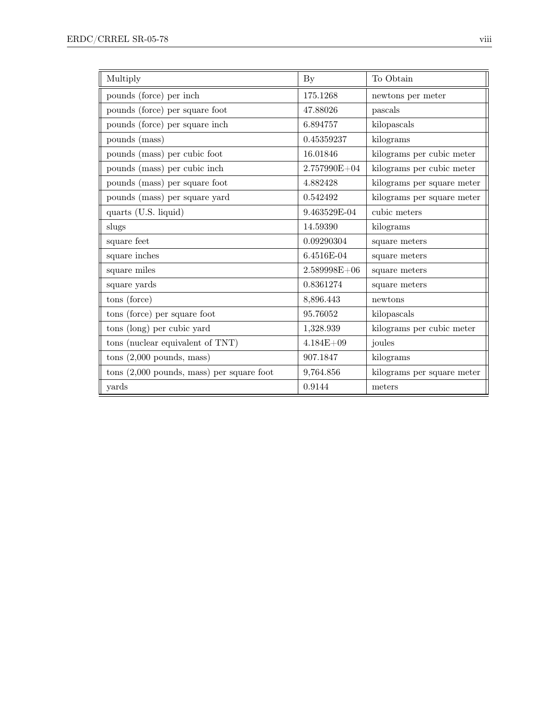| Multiply<br>$\mathbf{B}$ y                  |                  | To Obtain                  |  |
|---------------------------------------------|------------------|----------------------------|--|
| pounds (force) per inch                     | 175.1268         | newtons per meter          |  |
| pounds (force) per square foot              | 47.88026         | pascals                    |  |
| pounds (force) per square inch              | 6.894757         | kilopascals                |  |
| pounds (mass)                               | 0.45359237       | kilograms                  |  |
| pounds (mass) per cubic foot                | 16.01846         | kilograms per cubic meter  |  |
| pounds (mass) per cubic inch                | $2.757990E + 04$ | kilograms per cubic meter  |  |
| pounds (mass) per square foot               | 4.882428         | kilograms per square meter |  |
| pounds (mass) per square yard               | 0.542492         | kilograms per square meter |  |
| quarts (U.S. liquid)                        | 9.463529E-04     | cubic meters               |  |
| slugs                                       | 14.59390         | kilograms                  |  |
| square feet                                 | 0.09290304       | square meters              |  |
| square inches                               | 6.4516E-04       | square meters              |  |
| square miles                                | $2.589998E + 06$ | square meters              |  |
| square yards                                | 0.8361274        | square meters              |  |
| tons (force)                                | 8,896.443        | newtons                    |  |
| tons (force) per square foot                | 95.76052         | kilopascals                |  |
| tons (long) per cubic yard                  | 1,328.939        | kilograms per cubic meter  |  |
| tons (nuclear equivalent of TNT)            | $4.184E + 09$    | joules                     |  |
| tons (2,000 pounds, mass)                   | 907.1847         | kilograms                  |  |
| $tons (2,000 pounds, mass) per square foot$ | 9,764.856        | kilograms per square meter |  |
| yards                                       | 0.9144           | meters                     |  |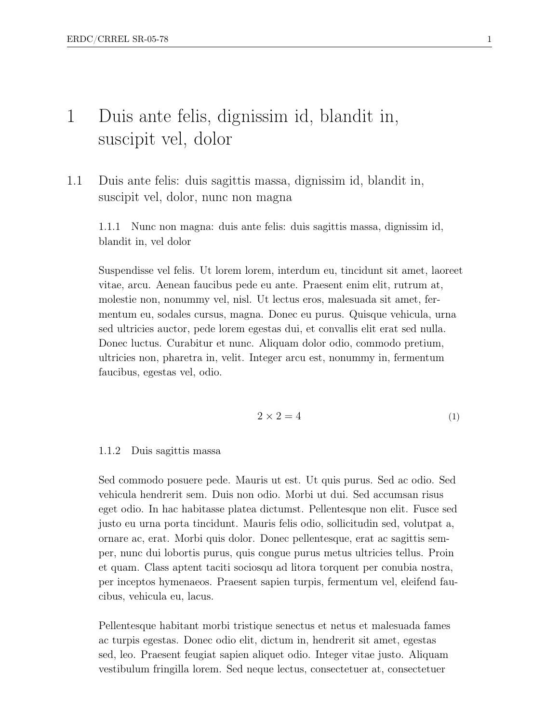## 1 Duis ante felis, dignissim id, blandit in, suscipit vel, dolor

1.1 Duis ante felis: duis sagittis massa, dignissim id, blandit in, suscipit vel, dolor, nunc non magna

1.1.1 Nunc non magna: duis ante felis: duis sagittis massa, dignissim id, blandit in, vel dolor

Suspendisse vel felis. Ut lorem lorem, interdum eu, tincidunt sit amet, laoreet vitae, arcu. Aenean faucibus pede eu ante. Praesent enim elit, rutrum at, molestie non, nonummy vel, nisl. Ut lectus eros, malesuada sit amet, fermentum eu, sodales cursus, magna. Donec eu purus. Quisque vehicula, urna sed ultricies auctor, pede lorem egestas dui, et convallis elit erat sed nulla. Donec luctus. Curabitur et nunc. Aliquam dolor odio, commodo pretium, ultricies non, pharetra in, velit. Integer arcu est, nonummy in, fermentum faucibus, egestas vel, odio.

$$
2 \times 2 = 4 \tag{1}
$$

#### 1.1.2 Duis sagittis massa

Sed commodo posuere pede. Mauris ut est. Ut quis purus. Sed ac odio. Sed vehicula hendrerit sem. Duis non odio. Morbi ut dui. Sed accumsan risus eget odio. In hac habitasse platea dictumst. Pellentesque non elit. Fusce sed justo eu urna porta tincidunt. Mauris felis odio, sollicitudin sed, volutpat a, ornare ac, erat. Morbi quis dolor. Donec pellentesque, erat ac sagittis semper, nunc dui lobortis purus, quis congue purus metus ultricies tellus. Proin et quam. Class aptent taciti sociosqu ad litora torquent per conubia nostra, per inceptos hymenaeos. Praesent sapien turpis, fermentum vel, eleifend faucibus, vehicula eu, lacus.

Pellentesque habitant morbi tristique senectus et netus et malesuada fames ac turpis egestas. Donec odio elit, dictum in, hendrerit sit amet, egestas sed, leo. Praesent feugiat sapien aliquet odio. Integer vitae justo. Aliquam vestibulum fringilla lorem. Sed neque lectus, consectetuer at, consectetuer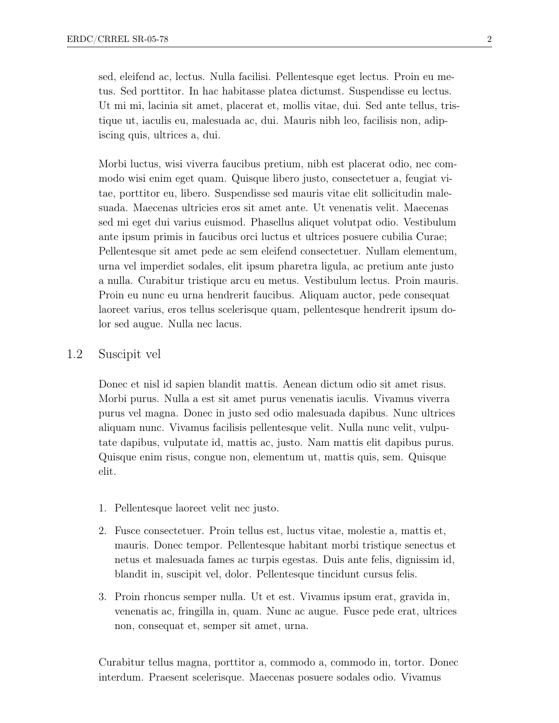sed, eleifend ac, lectus. Nulla facilisi. Pellentesque eget lectus. Proin eu metus. Sed porttitor. In hac habitasse platea dictumst. Suspendisse eu lectus. Ut mi mi, lacinia sit amet, placerat et, mollis vitae, dui. Sed ante tellus, tristique ut, iaculis eu, malesuada ac, dui. Mauris nibh leo, facilisis non, adipiscing quis, ultrices a, dui.

Morbi luctus, wisi viverra faucibus pretium, nibh est placerat odio, nec commodo wisi enim eget quam. Quisque libero justo, consectetuer a, feugiat vitae, porttitor eu, libero. Suspendisse sed mauris vitae elit sollicitudin malesuada. Maecenas ultricies eros sit amet ante. Ut venenatis velit. Maecenas sed mi eget dui varius euismod. Phasellus aliquet volutpat odio. Vestibulum ante ipsum primis in faucibus orci luctus et ultrices posuere cubilia Curae; Pellentesque sit amet pede ac sem eleifend consectetuer. Nullam elementum, urna vel imperdiet sodales, elit ipsum pharetra ligula, ac pretium ante justo a nulla. Curabitur tristique arcu eu metus. Vestibulum lectus. Proin mauris. Proin eu nunc eu urna hendrerit faucibus. Aliquam auctor, pede consequat laoreet varius, eros tellus scelerisque quam, pellentesque hendrerit ipsum dolor sed augue. Nulla nec lacus.

#### 1.2 Suscipit vel

Donec et nisl id sapien blandit mattis. Aenean dictum odio sit amet risus. Morbi purus. Nulla a est sit amet purus venenatis iaculis. Vivamus viverra purus vel magna. Donec in justo sed odio malesuada dapibus. Nunc ultrices aliquam nunc. Vivamus facilisis pellentesque velit. Nulla nunc velit, vulputate dapibus, vulputate id, mattis ac, justo. Nam mattis elit dapibus purus. Quisque enim risus, congue non, elementum ut, mattis quis, sem. Quisque elit.

- 1. Pellentesque laoreet velit nec justo.
- 2. Fusce consectetuer. Proin tellus est, luctus vitae, molestie a, mattis et, mauris. Donec tempor. Pellentesque habitant morbi tristique senectus et netus et malesuada fames ac turpis egestas. Duis ante felis, dignissim id, blandit in, suscipit vel, dolor. Pellentesque tincidunt cursus felis.
- 3. Proin rhoncus semper nulla. Ut et est. Vivamus ipsum erat, gravida in, venenatis ac, fringilla in, quam. Nunc ac augue. Fusce pede erat, ultrices non, consequat et, semper sit amet, urna.

Curabitur tellus magna, porttitor a, commodo a, commodo in, tortor. Donec interdum. Praesent scelerisque. Maecenas posuere sodales odio. Vivamus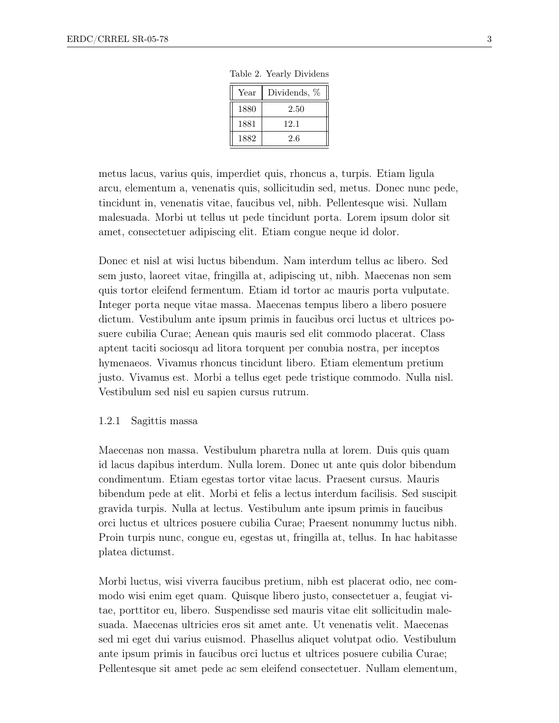| Year | Dividends, % |
|------|--------------|
| 1880 | 2.50         |
| 1881 | 12.1         |
| 1882 | 2.6          |

Table 2. Yearly Dividens

metus lacus, varius quis, imperdiet quis, rhoncus a, turpis. Etiam ligula arcu, elementum a, venenatis quis, sollicitudin sed, metus. Donec nunc pede, tincidunt in, venenatis vitae, faucibus vel, nibh. Pellentesque wisi. Nullam malesuada. Morbi ut tellus ut pede tincidunt porta. Lorem ipsum dolor sit amet, consectetuer adipiscing elit. Etiam congue neque id dolor.

Donec et nisl at wisi luctus bibendum. Nam interdum tellus ac libero. Sed sem justo, laoreet vitae, fringilla at, adipiscing ut, nibh. Maecenas non sem quis tortor eleifend fermentum. Etiam id tortor ac mauris porta vulputate. Integer porta neque vitae massa. Maecenas tempus libero a libero posuere dictum. Vestibulum ante ipsum primis in faucibus orci luctus et ultrices posuere cubilia Curae; Aenean quis mauris sed elit commodo placerat. Class aptent taciti sociosqu ad litora torquent per conubia nostra, per inceptos hymenaeos. Vivamus rhoncus tincidunt libero. Etiam elementum pretium justo. Vivamus est. Morbi a tellus eget pede tristique commodo. Nulla nisl. Vestibulum sed nisl eu sapien cursus rutrum.

#### 1.2.1 Sagittis massa

Maecenas non massa. Vestibulum pharetra nulla at lorem. Duis quis quam id lacus dapibus interdum. Nulla lorem. Donec ut ante quis dolor bibendum condimentum. Etiam egestas tortor vitae lacus. Praesent cursus. Mauris bibendum pede at elit. Morbi et felis a lectus interdum facilisis. Sed suscipit gravida turpis. Nulla at lectus. Vestibulum ante ipsum primis in faucibus orci luctus et ultrices posuere cubilia Curae; Praesent nonummy luctus nibh. Proin turpis nunc, congue eu, egestas ut, fringilla at, tellus. In hac habitasse platea dictumst.

Morbi luctus, wisi viverra faucibus pretium, nibh est placerat odio, nec commodo wisi enim eget quam. Quisque libero justo, consectetuer a, feugiat vitae, porttitor eu, libero. Suspendisse sed mauris vitae elit sollicitudin malesuada. Maecenas ultricies eros sit amet ante. Ut venenatis velit. Maecenas sed mi eget dui varius euismod. Phasellus aliquet volutpat odio. Vestibulum ante ipsum primis in faucibus orci luctus et ultrices posuere cubilia Curae; Pellentesque sit amet pede ac sem eleifend consectetuer. Nullam elementum,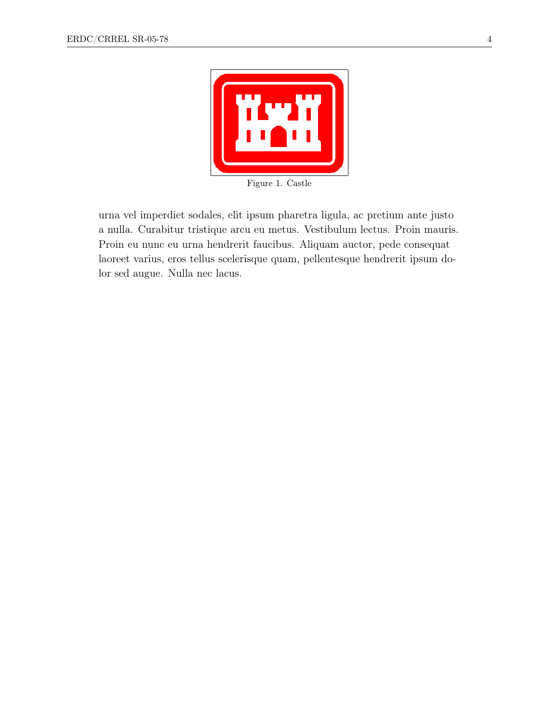

Figure 1. Castle

urna vel imperdiet sodales, elit ipsum pharetra ligula, ac pretium ante justo a nulla. Curabitur tristique arcu eu metus. Vestibulum lectus. Proin mauris. Proin eu nunc eu urna hendrerit faucibus. Aliquam auctor, pede consequat laoreet varius, eros tellus scelerisque quam, pellentesque hendrerit ipsum dolor sed augue. Nulla nec lacus.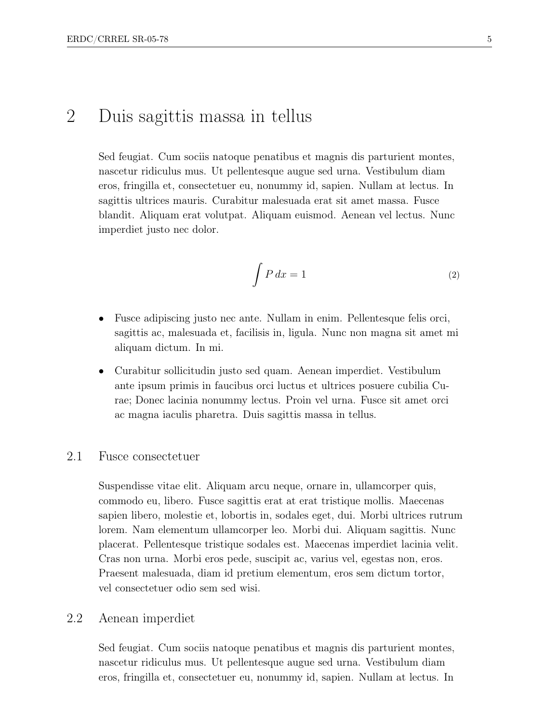### 2 Duis sagittis massa in tellus

Sed feugiat. Cum sociis natoque penatibus et magnis dis parturient montes, nascetur ridiculus mus. Ut pellentesque augue sed urna. Vestibulum diam eros, fringilla et, consectetuer eu, nonummy id, sapien. Nullam at lectus. In sagittis ultrices mauris. Curabitur malesuada erat sit amet massa. Fusce blandit. Aliquam erat volutpat. Aliquam euismod. Aenean vel lectus. Nunc imperdiet justo nec dolor.

$$
\int P dx = 1 \tag{2}
$$

- Fusce adipiscing justo nec ante. Nullam in enim. Pellentesque felis orci, sagittis ac, malesuada et, facilisis in, ligula. Nunc non magna sit amet mi aliquam dictum. In mi.
- Curabitur sollicitudin justo sed quam. Aenean imperdiet. Vestibulum ante ipsum primis in faucibus orci luctus et ultrices posuere cubilia Curae; Donec lacinia nonummy lectus. Proin vel urna. Fusce sit amet orci ac magna iaculis pharetra. Duis sagittis massa in tellus.

### 2.1 Fusce consectetuer

Suspendisse vitae elit. Aliquam arcu neque, ornare in, ullamcorper quis, commodo eu, libero. Fusce sagittis erat at erat tristique mollis. Maecenas sapien libero, molestie et, lobortis in, sodales eget, dui. Morbi ultrices rutrum lorem. Nam elementum ullamcorper leo. Morbi dui. Aliquam sagittis. Nunc placerat. Pellentesque tristique sodales est. Maecenas imperdiet lacinia velit. Cras non urna. Morbi eros pede, suscipit ac, varius vel, egestas non, eros. Praesent malesuada, diam id pretium elementum, eros sem dictum tortor, vel consectetuer odio sem sed wisi.

### 2.2 Aenean imperdiet

Sed feugiat. Cum sociis natoque penatibus et magnis dis parturient montes, nascetur ridiculus mus. Ut pellentesque augue sed urna. Vestibulum diam eros, fringilla et, consectetuer eu, nonummy id, sapien. Nullam at lectus. In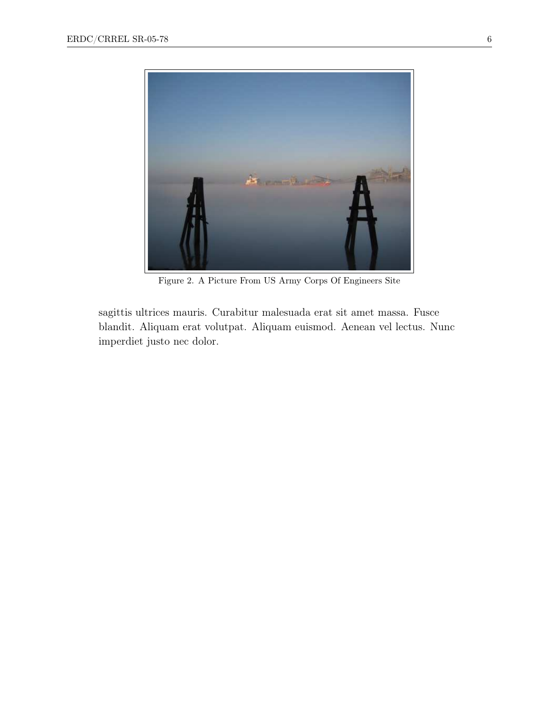

Figure 2. A Picture From US Army Corps Of Engineers Site

sagittis ultrices mauris. Curabitur malesuada erat sit amet massa. Fusce blandit. Aliquam erat volutpat. Aliquam euismod. Aenean vel lectus. Nunc imperdiet justo nec dolor.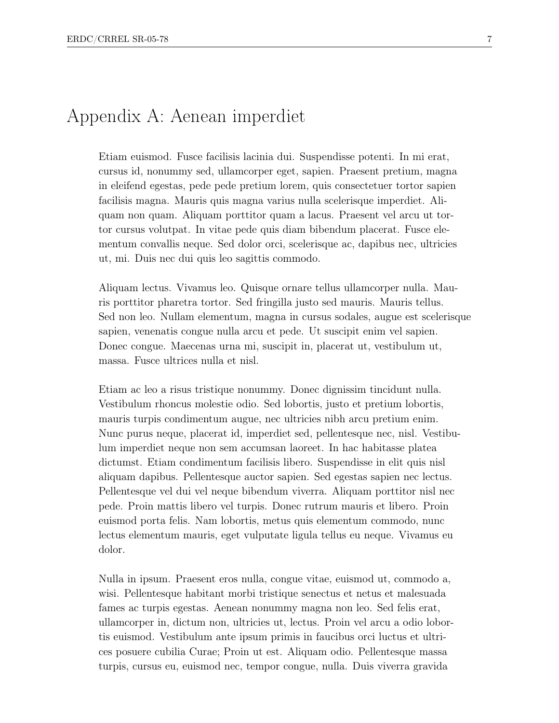## Appendix A: Aenean imperdiet

Etiam euismod. Fusce facilisis lacinia dui. Suspendisse potenti. In mi erat, cursus id, nonummy sed, ullamcorper eget, sapien. Praesent pretium, magna in eleifend egestas, pede pede pretium lorem, quis consectetuer tortor sapien facilisis magna. Mauris quis magna varius nulla scelerisque imperdiet. Aliquam non quam. Aliquam porttitor quam a lacus. Praesent vel arcu ut tortor cursus volutpat. In vitae pede quis diam bibendum placerat. Fusce elementum convallis neque. Sed dolor orci, scelerisque ac, dapibus nec, ultricies ut, mi. Duis nec dui quis leo sagittis commodo.

Aliquam lectus. Vivamus leo. Quisque ornare tellus ullamcorper nulla. Mauris porttitor pharetra tortor. Sed fringilla justo sed mauris. Mauris tellus. Sed non leo. Nullam elementum, magna in cursus sodales, augue est scelerisque sapien, venenatis congue nulla arcu et pede. Ut suscipit enim vel sapien. Donec congue. Maecenas urna mi, suscipit in, placerat ut, vestibulum ut, massa. Fusce ultrices nulla et nisl.

Etiam ac leo a risus tristique nonummy. Donec dignissim tincidunt nulla. Vestibulum rhoncus molestie odio. Sed lobortis, justo et pretium lobortis, mauris turpis condimentum augue, nec ultricies nibh arcu pretium enim. Nunc purus neque, placerat id, imperdiet sed, pellentesque nec, nisl. Vestibulum imperdiet neque non sem accumsan laoreet. In hac habitasse platea dictumst. Etiam condimentum facilisis libero. Suspendisse in elit quis nisl aliquam dapibus. Pellentesque auctor sapien. Sed egestas sapien nec lectus. Pellentesque vel dui vel neque bibendum viverra. Aliquam porttitor nisl nec pede. Proin mattis libero vel turpis. Donec rutrum mauris et libero. Proin euismod porta felis. Nam lobortis, metus quis elementum commodo, nunc lectus elementum mauris, eget vulputate ligula tellus eu neque. Vivamus eu dolor.

Nulla in ipsum. Praesent eros nulla, congue vitae, euismod ut, commodo a, wisi. Pellentesque habitant morbi tristique senectus et netus et malesuada fames ac turpis egestas. Aenean nonummy magna non leo. Sed felis erat, ullamcorper in, dictum non, ultricies ut, lectus. Proin vel arcu a odio lobortis euismod. Vestibulum ante ipsum primis in faucibus orci luctus et ultrices posuere cubilia Curae; Proin ut est. Aliquam odio. Pellentesque massa turpis, cursus eu, euismod nec, tempor congue, nulla. Duis viverra gravida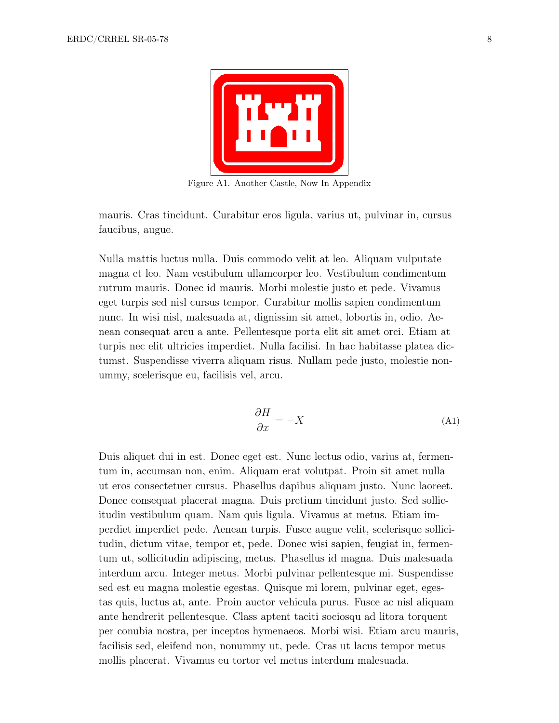

Figure A1. Another Castle, Now In Appendix

mauris. Cras tincidunt. Curabitur eros ligula, varius ut, pulvinar in, cursus faucibus, augue.

Nulla mattis luctus nulla. Duis commodo velit at leo. Aliquam vulputate magna et leo. Nam vestibulum ullamcorper leo. Vestibulum condimentum rutrum mauris. Donec id mauris. Morbi molestie justo et pede. Vivamus eget turpis sed nisl cursus tempor. Curabitur mollis sapien condimentum nunc. In wisi nisl, malesuada at, dignissim sit amet, lobortis in, odio. Aenean consequat arcu a ante. Pellentesque porta elit sit amet orci. Etiam at turpis nec elit ultricies imperdiet. Nulla facilisi. In hac habitasse platea dictumst. Suspendisse viverra aliquam risus. Nullam pede justo, molestie nonummy, scelerisque eu, facilisis vel, arcu.

$$
\frac{\partial H}{\partial x} = -X\tag{A1}
$$

Duis aliquet dui in est. Donec eget est. Nunc lectus odio, varius at, fermentum in, accumsan non, enim. Aliquam erat volutpat. Proin sit amet nulla ut eros consectetuer cursus. Phasellus dapibus aliquam justo. Nunc laoreet. Donec consequat placerat magna. Duis pretium tincidunt justo. Sed sollicitudin vestibulum quam. Nam quis ligula. Vivamus at metus. Etiam imperdiet imperdiet pede. Aenean turpis. Fusce augue velit, scelerisque sollicitudin, dictum vitae, tempor et, pede. Donec wisi sapien, feugiat in, fermentum ut, sollicitudin adipiscing, metus. Phasellus id magna. Duis malesuada interdum arcu. Integer metus. Morbi pulvinar pellentesque mi. Suspendisse sed est eu magna molestie egestas. Quisque mi lorem, pulvinar eget, egestas quis, luctus at, ante. Proin auctor vehicula purus. Fusce ac nisl aliquam ante hendrerit pellentesque. Class aptent taciti sociosqu ad litora torquent per conubia nostra, per inceptos hymenaeos. Morbi wisi. Etiam arcu mauris, facilisis sed, eleifend non, nonummy ut, pede. Cras ut lacus tempor metus mollis placerat. Vivamus eu tortor vel metus interdum malesuada.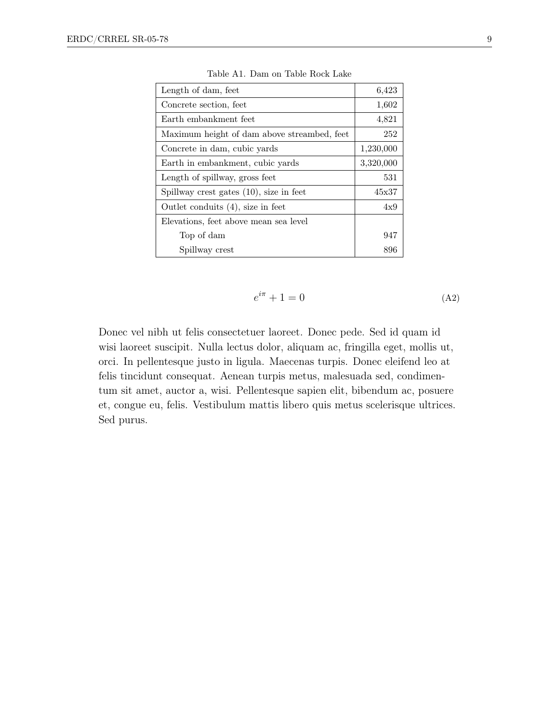| Length of dam, feet                         | 6,423     |
|---------------------------------------------|-----------|
| Concrete section, feet                      | 1,602     |
| Earth embankment feet                       | 4,821     |
| Maximum height of dam above streambed, feet | 252       |
| Concrete in dam, cubic yards                | 1,230,000 |
| Earth in embankment, cubic yards            | 3,320,000 |
| Length of spillway, gross feet              | 531       |
| Spillway crest gates $(10)$ , size in feet  | 45x37     |
| Outlet conduits $(4)$ , size in feet        | 4x9       |
| Elevations, feet above mean sea level       |           |
| Top of dam                                  | 947       |
| Spillway crest                              | 896       |

Table A1. Dam on Table Rock Lake

$$
e^{i\pi} + 1 = 0 \tag{A2}
$$

Donec vel nibh ut felis consectetuer laoreet. Donec pede. Sed id quam id wisi laoreet suscipit. Nulla lectus dolor, aliquam ac, fringilla eget, mollis ut, orci. In pellentesque justo in ligula. Maecenas turpis. Donec eleifend leo at felis tincidunt consequat. Aenean turpis metus, malesuada sed, condimentum sit amet, auctor a, wisi. Pellentesque sapien elit, bibendum ac, posuere et, congue eu, felis. Vestibulum mattis libero quis metus scelerisque ultrices. Sed purus.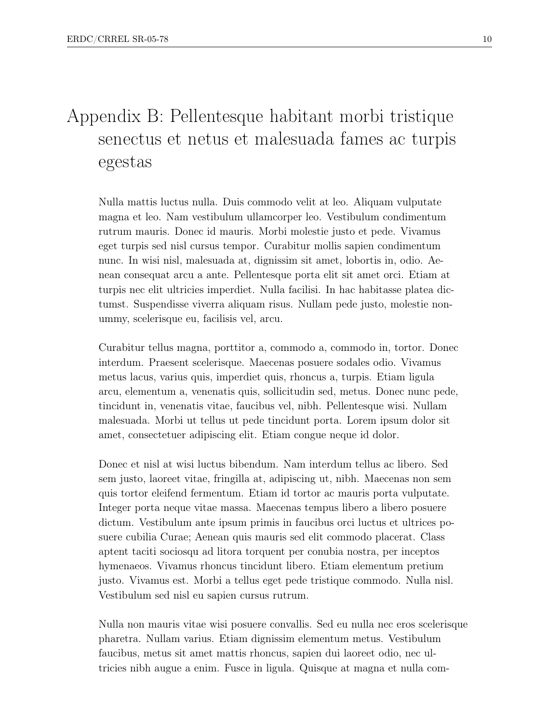## Appendix B: Pellentesque habitant morbi tristique senectus et netus et malesuada fames ac turpis egestas

Nulla mattis luctus nulla. Duis commodo velit at leo. Aliquam vulputate magna et leo. Nam vestibulum ullamcorper leo. Vestibulum condimentum rutrum mauris. Donec id mauris. Morbi molestie justo et pede. Vivamus eget turpis sed nisl cursus tempor. Curabitur mollis sapien condimentum nunc. In wisi nisl, malesuada at, dignissim sit amet, lobortis in, odio. Aenean consequat arcu a ante. Pellentesque porta elit sit amet orci. Etiam at turpis nec elit ultricies imperdiet. Nulla facilisi. In hac habitasse platea dictumst. Suspendisse viverra aliquam risus. Nullam pede justo, molestie nonummy, scelerisque eu, facilisis vel, arcu.

Curabitur tellus magna, porttitor a, commodo a, commodo in, tortor. Donec interdum. Praesent scelerisque. Maecenas posuere sodales odio. Vivamus metus lacus, varius quis, imperdiet quis, rhoncus a, turpis. Etiam ligula arcu, elementum a, venenatis quis, sollicitudin sed, metus. Donec nunc pede, tincidunt in, venenatis vitae, faucibus vel, nibh. Pellentesque wisi. Nullam malesuada. Morbi ut tellus ut pede tincidunt porta. Lorem ipsum dolor sit amet, consectetuer adipiscing elit. Etiam congue neque id dolor.

Donec et nisl at wisi luctus bibendum. Nam interdum tellus ac libero. Sed sem justo, laoreet vitae, fringilla at, adipiscing ut, nibh. Maecenas non sem quis tortor eleifend fermentum. Etiam id tortor ac mauris porta vulputate. Integer porta neque vitae massa. Maecenas tempus libero a libero posuere dictum. Vestibulum ante ipsum primis in faucibus orci luctus et ultrices posuere cubilia Curae; Aenean quis mauris sed elit commodo placerat. Class aptent taciti sociosqu ad litora torquent per conubia nostra, per inceptos hymenaeos. Vivamus rhoncus tincidunt libero. Etiam elementum pretium justo. Vivamus est. Morbi a tellus eget pede tristique commodo. Nulla nisl. Vestibulum sed nisl eu sapien cursus rutrum.

Nulla non mauris vitae wisi posuere convallis. Sed eu nulla nec eros scelerisque pharetra. Nullam varius. Etiam dignissim elementum metus. Vestibulum faucibus, metus sit amet mattis rhoncus, sapien dui laoreet odio, nec ultricies nibh augue a enim. Fusce in ligula. Quisque at magna et nulla com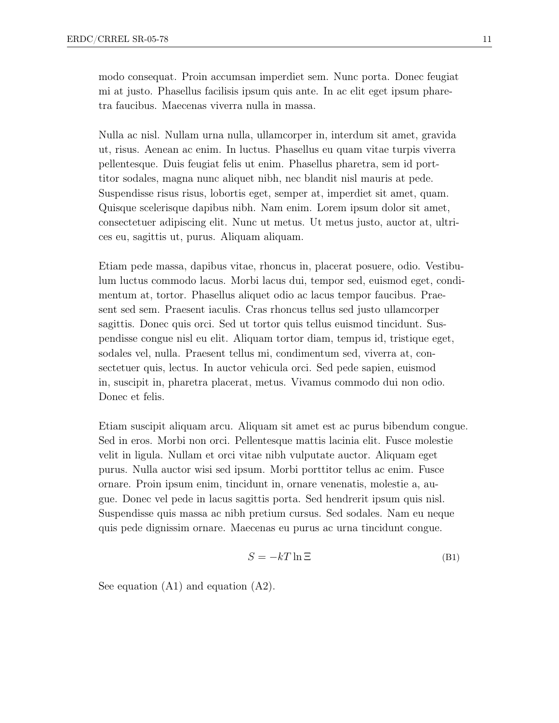modo consequat. Proin accumsan imperdiet sem. Nunc porta. Donec feugiat mi at justo. Phasellus facilisis ipsum quis ante. In ac elit eget ipsum pharetra faucibus. Maecenas viverra nulla in massa.

Nulla ac nisl. Nullam urna nulla, ullamcorper in, interdum sit amet, gravida ut, risus. Aenean ac enim. In luctus. Phasellus eu quam vitae turpis viverra pellentesque. Duis feugiat felis ut enim. Phasellus pharetra, sem id porttitor sodales, magna nunc aliquet nibh, nec blandit nisl mauris at pede. Suspendisse risus risus, lobortis eget, semper at, imperdiet sit amet, quam. Quisque scelerisque dapibus nibh. Nam enim. Lorem ipsum dolor sit amet, consectetuer adipiscing elit. Nunc ut metus. Ut metus justo, auctor at, ultrices eu, sagittis ut, purus. Aliquam aliquam.

Etiam pede massa, dapibus vitae, rhoncus in, placerat posuere, odio. Vestibulum luctus commodo lacus. Morbi lacus dui, tempor sed, euismod eget, condimentum at, tortor. Phasellus aliquet odio ac lacus tempor faucibus. Praesent sed sem. Praesent iaculis. Cras rhoncus tellus sed justo ullamcorper sagittis. Donec quis orci. Sed ut tortor quis tellus euismod tincidunt. Suspendisse congue nisl eu elit. Aliquam tortor diam, tempus id, tristique eget, sodales vel, nulla. Praesent tellus mi, condimentum sed, viverra at, consectetuer quis, lectus. In auctor vehicula orci. Sed pede sapien, euismod in, suscipit in, pharetra placerat, metus. Vivamus commodo dui non odio. Donec et felis.

Etiam suscipit aliquam arcu. Aliquam sit amet est ac purus bibendum congue. Sed in eros. Morbi non orci. Pellentesque mattis lacinia elit. Fusce molestie velit in ligula. Nullam et orci vitae nibh vulputate auctor. Aliquam eget purus. Nulla auctor wisi sed ipsum. Morbi porttitor tellus ac enim. Fusce ornare. Proin ipsum enim, tincidunt in, ornare venenatis, molestie a, augue. Donec vel pede in lacus sagittis porta. Sed hendrerit ipsum quis nisl. Suspendisse quis massa ac nibh pretium cursus. Sed sodales. Nam eu neque quis pede dignissim ornare. Maecenas eu purus ac urna tincidunt congue.

$$
S = -kT \ln \Xi \tag{B1}
$$

See equation  $(A1)$  and equation  $(A2)$ .